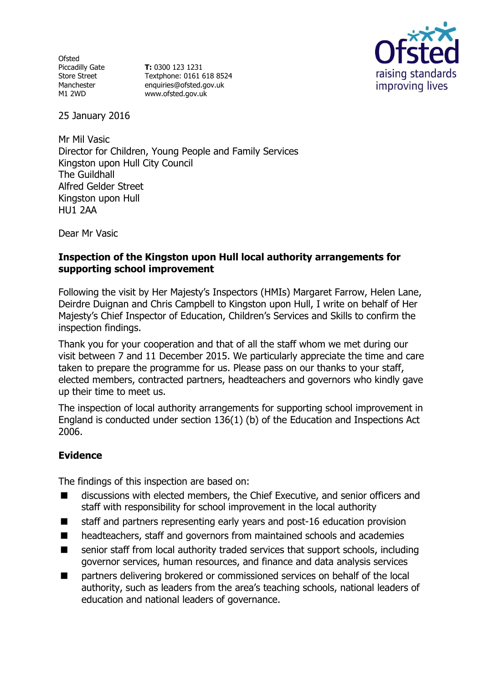**Ofsted** Piccadilly Gate Store Street Manchester M1 2WD

**T:** 0300 123 1231 Textphone: 0161 618 8524 enquiries@ofsted.gov.uk www.ofsted.gov.uk



25 January 2016

Mr Mil Vasic Director for Children, Young People and Family Services Kingston upon Hull City Council The Guildhall Alfred Gelder Street Kingston upon Hull HU1 2AA

Dear Mr Vasic

### **Inspection of the Kingston upon Hull local authority arrangements for supporting school improvement**

Following the visit by Her Majesty's Inspectors (HMIs) Margaret Farrow, Helen Lane, Deirdre Duignan and Chris Campbell to Kingston upon Hull, I write on behalf of Her Majesty's Chief Inspector of Education, Children's Services and Skills to confirm the inspection findings.

Thank you for your cooperation and that of all the staff whom we met during our visit between 7 and 11 December 2015. We particularly appreciate the time and care taken to prepare the programme for us. Please pass on our thanks to your staff, elected members, contracted partners, headteachers and governors who kindly gave up their time to meet us.

The inspection of local authority arrangements for supporting school improvement in England is conducted under section 136(1) (b) of the Education and Inspections Act 2006.

# **Evidence**

The findings of this inspection are based on:

- discussions with elected members, the Chief Executive, and senior officers and staff with responsibility for school improvement in the local authority
- staff and partners representing early years and post-16 education provision
- headteachers, staff and governors from maintained schools and academies
- senior staff from local authority traded services that support schools, including governor services, human resources, and finance and data analysis services
- partners delivering brokered or commissioned services on behalf of the local authority, such as leaders from the area's teaching schools, national leaders of education and national leaders of governance.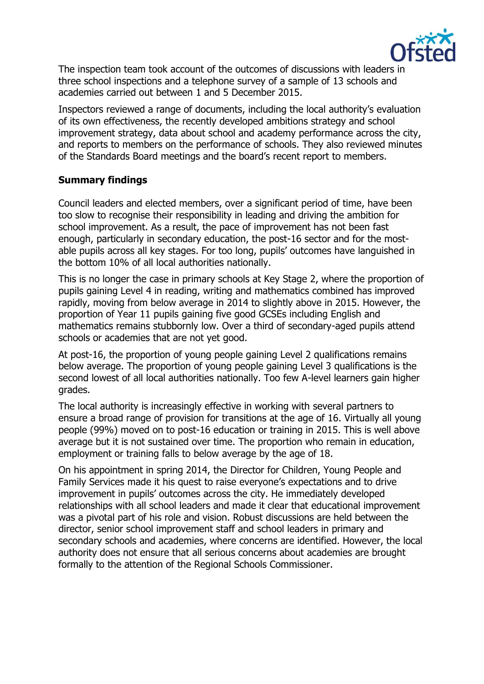

The inspection team took account of the outcomes of discussions with leaders in three school inspections and a telephone survey of a sample of 13 schools and academies carried out between 1 and 5 December 2015.

Inspectors reviewed a range of documents, including the local authority's evaluation of its own effectiveness, the recently developed ambitions strategy and school improvement strategy, data about school and academy performance across the city, and reports to members on the performance of schools. They also reviewed minutes of the Standards Board meetings and the board's recent report to members.

## **Summary findings**

Council leaders and elected members, over a significant period of time, have been too slow to recognise their responsibility in leading and driving the ambition for school improvement. As a result, the pace of improvement has not been fast enough, particularly in secondary education, the post-16 sector and for the mostable pupils across all key stages. For too long, pupils' outcomes have languished in the bottom 10% of all local authorities nationally.

This is no longer the case in primary schools at Key Stage 2, where the proportion of pupils gaining Level 4 in reading, writing and mathematics combined has improved rapidly, moving from below average in 2014 to slightly above in 2015. However, the proportion of Year 11 pupils gaining five good GCSEs including English and mathematics remains stubbornly low. Over a third of secondary-aged pupils attend schools or academies that are not yet good.

At post-16, the proportion of young people gaining Level 2 qualifications remains below average. The proportion of young people gaining Level 3 qualifications is the second lowest of all local authorities nationally. Too few A-level learners gain higher grades.

The local authority is increasingly effective in working with several partners to ensure a broad range of provision for transitions at the age of 16. Virtually all young people (99%) moved on to post-16 education or training in 2015. This is well above average but it is not sustained over time. The proportion who remain in education, employment or training falls to below average by the age of 18.

On his appointment in spring 2014, the Director for Children, Young People and Family Services made it his quest to raise everyone's expectations and to drive improvement in pupils' outcomes across the city. He immediately developed relationships with all school leaders and made it clear that educational improvement was a pivotal part of his role and vision. Robust discussions are held between the director, senior school improvement staff and school leaders in primary and secondary schools and academies, where concerns are identified. However, the local authority does not ensure that all serious concerns about academies are brought formally to the attention of the Regional Schools Commissioner.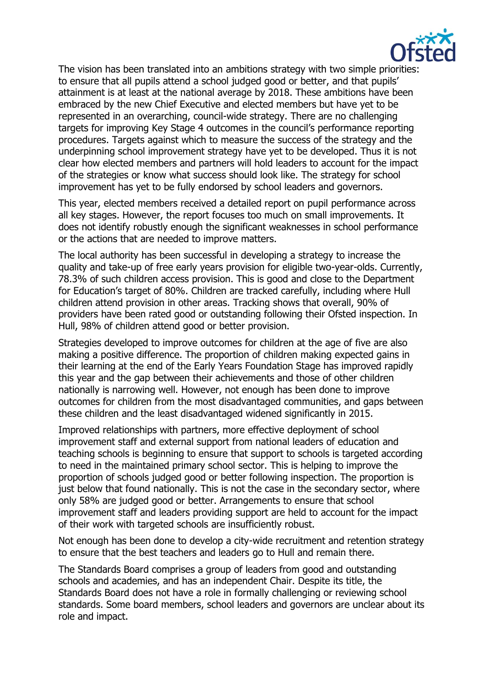

The vision has been translated into an ambitions strategy with two simple priorities: to ensure that all pupils attend a school judged good or better, and that pupils' attainment is at least at the national average by 2018. These ambitions have been embraced by the new Chief Executive and elected members but have yet to be represented in an overarching, council-wide strategy. There are no challenging targets for improving Key Stage 4 outcomes in the council's performance reporting procedures. Targets against which to measure the success of the strategy and the underpinning school improvement strategy have yet to be developed. Thus it is not clear how elected members and partners will hold leaders to account for the impact of the strategies or know what success should look like. The strategy for school improvement has yet to be fully endorsed by school leaders and governors.

This year, elected members received a detailed report on pupil performance across all key stages. However, the report focuses too much on small improvements. It does not identify robustly enough the significant weaknesses in school performance or the actions that are needed to improve matters.

The local authority has been successful in developing a strategy to increase the quality and take-up of free early years provision for eligible two-year-olds. Currently, 78.3% of such children access provision. This is good and close to the Department for Education's target of 80%. Children are tracked carefully, including where Hull children attend provision in other areas. Tracking shows that overall, 90% of providers have been rated good or outstanding following their Ofsted inspection. In Hull, 98% of children attend good or better provision.

Strategies developed to improve outcomes for children at the age of five are also making a positive difference. The proportion of children making expected gains in their learning at the end of the Early Years Foundation Stage has improved rapidly this year and the gap between their achievements and those of other children nationally is narrowing well. However, not enough has been done to improve outcomes for children from the most disadvantaged communities, and gaps between these children and the least disadvantaged widened significantly in 2015.

Improved relationships with partners, more effective deployment of school improvement staff and external support from national leaders of education and teaching schools is beginning to ensure that support to schools is targeted according to need in the maintained primary school sector. This is helping to improve the proportion of schools judged good or better following inspection. The proportion is just below that found nationally. This is not the case in the secondary sector, where only 58% are judged good or better. Arrangements to ensure that school improvement staff and leaders providing support are held to account for the impact of their work with targeted schools are insufficiently robust.

Not enough has been done to develop a city-wide recruitment and retention strategy to ensure that the best teachers and leaders go to Hull and remain there.

The Standards Board comprises a group of leaders from good and outstanding schools and academies, and has an independent Chair. Despite its title, the Standards Board does not have a role in formally challenging or reviewing school standards. Some board members, school leaders and governors are unclear about its role and impact.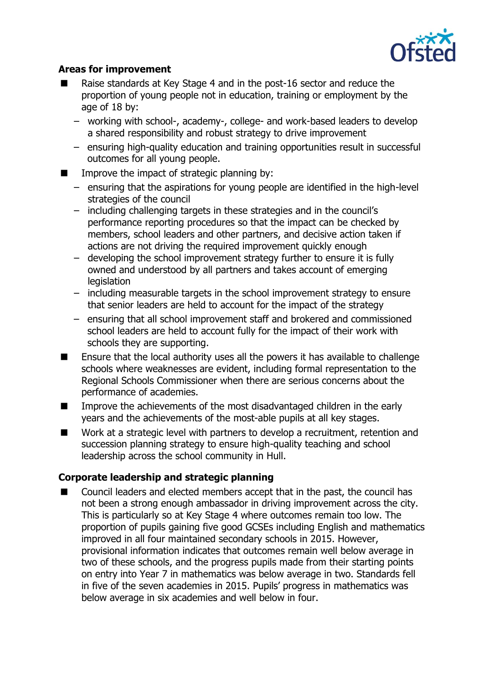

#### **Areas for improvement**

- Raise standards at Key Stage 4 and in the post-16 sector and reduce the proportion of young people not in education, training or employment by the age of 18 by:
	- − working with school-, academy-, college- and work-based leaders to develop a shared responsibility and robust strategy to drive improvement
	- − ensuring high-quality education and training opportunities result in successful outcomes for all young people.
- $\blacksquare$  Improve the impact of strategic planning by:
	- − ensuring that the aspirations for young people are identified in the high-level strategies of the council
	- − including challenging targets in these strategies and in the council's performance reporting procedures so that the impact can be checked by members, school leaders and other partners, and decisive action taken if actions are not driving the required improvement quickly enough
	- − developing the school improvement strategy further to ensure it is fully owned and understood by all partners and takes account of emerging **legislation**
	- − including measurable targets in the school improvement strategy to ensure that senior leaders are held to account for the impact of the strategy
	- − ensuring that all school improvement staff and brokered and commissioned school leaders are held to account fully for the impact of their work with schools they are supporting.
- Ensure that the local authority uses all the powers it has available to challenge schools where weaknesses are evident, including formal representation to the Regional Schools Commissioner when there are serious concerns about the performance of academies.
- Improve the achievements of the most disadvantaged children in the early years and the achievements of the most-able pupils at all key stages.
- Work at a strategic level with partners to develop a recruitment, retention and succession planning strategy to ensure high-quality teaching and school leadership across the school community in Hull.

#### **Corporate leadership and strategic planning**

■ Council leaders and elected members accept that in the past, the council has not been a strong enough ambassador in driving improvement across the city. This is particularly so at Key Stage 4 where outcomes remain too low. The proportion of pupils gaining five good GCSEs including English and mathematics improved in all four maintained secondary schools in 2015. However, provisional information indicates that outcomes remain well below average in two of these schools, and the progress pupils made from their starting points on entry into Year 7 in mathematics was below average in two. Standards fell in five of the seven academies in 2015. Pupils' progress in mathematics was below average in six academies and well below in four.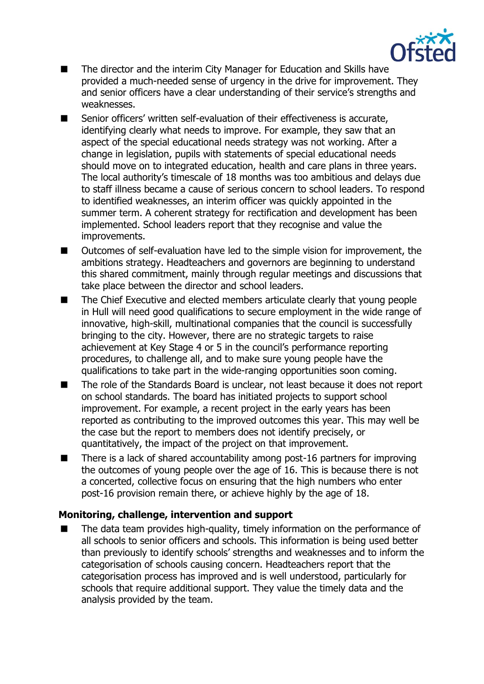

- The director and the interim City Manager for Education and Skills have provided a much-needed sense of urgency in the drive for improvement. They and senior officers have a clear understanding of their service's strengths and weaknesses.
- Senior officers' written self-evaluation of their effectiveness is accurate, identifying clearly what needs to improve. For example, they saw that an aspect of the special educational needs strategy was not working. After a change in legislation, pupils with statements of special educational needs should move on to integrated education, health and care plans in three years. The local authority's timescale of 18 months was too ambitious and delays due to staff illness became a cause of serious concern to school leaders. To respond to identified weaknesses, an interim officer was quickly appointed in the summer term. A coherent strategy for rectification and development has been implemented. School leaders report that they recognise and value the improvements.
- Outcomes of self-evaluation have led to the simple vision for improvement, the ambitions strategy. Headteachers and governors are beginning to understand this shared commitment, mainly through regular meetings and discussions that take place between the director and school leaders.
- The Chief Executive and elected members articulate clearly that young people in Hull will need good qualifications to secure employment in the wide range of innovative, high-skill, multinational companies that the council is successfully bringing to the city. However, there are no strategic targets to raise achievement at Key Stage 4 or 5 in the council's performance reporting procedures, to challenge all, and to make sure young people have the qualifications to take part in the wide-ranging opportunities soon coming.
- The role of the Standards Board is unclear, not least because it does not report on school standards. The board has initiated projects to support school improvement. For example, a recent project in the early years has been reported as contributing to the improved outcomes this year. This may well be the case but the report to members does not identify precisely, or quantitatively, the impact of the project on that improvement.
- There is a lack of shared accountability among post-16 partners for improving the outcomes of young people over the age of 16. This is because there is not a concerted, collective focus on ensuring that the high numbers who enter post-16 provision remain there, or achieve highly by the age of 18.

#### **Monitoring, challenge, intervention and support**

 The data team provides high-quality, timely information on the performance of all schools to senior officers and schools. This information is being used better than previously to identify schools' strengths and weaknesses and to inform the categorisation of schools causing concern. Headteachers report that the categorisation process has improved and is well understood, particularly for schools that require additional support. They value the timely data and the analysis provided by the team.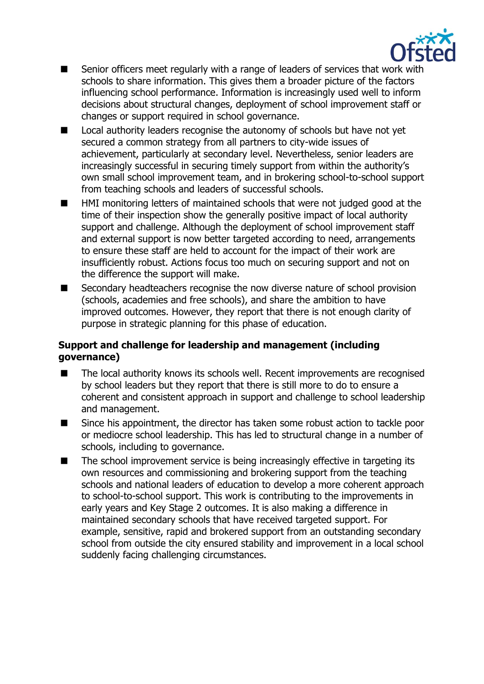

- Senior officers meet regularly with a range of leaders of services that work with schools to share information. This gives them a broader picture of the factors influencing school performance. Information is increasingly used well to inform decisions about structural changes, deployment of school improvement staff or changes or support required in school governance.
- Local authority leaders recognise the autonomy of schools but have not yet secured a common strategy from all partners to city-wide issues of achievement, particularly at secondary level. Nevertheless, senior leaders are increasingly successful in securing timely support from within the authority's own small school improvement team, and in brokering school-to-school support from teaching schools and leaders of successful schools.
- HMI monitoring letters of maintained schools that were not judged good at the time of their inspection show the generally positive impact of local authority support and challenge. Although the deployment of school improvement staff and external support is now better targeted according to need, arrangements to ensure these staff are held to account for the impact of their work are insufficiently robust. Actions focus too much on securing support and not on the difference the support will make.
- Secondary headteachers recognise the now diverse nature of school provision (schools, academies and free schools), and share the ambition to have improved outcomes. However, they report that there is not enough clarity of purpose in strategic planning for this phase of education.

## **Support and challenge for leadership and management (including governance)**

- The local authority knows its schools well. Recent improvements are recognised by school leaders but they report that there is still more to do to ensure a coherent and consistent approach in support and challenge to school leadership and management.
- Since his appointment, the director has taken some robust action to tackle poor or mediocre school leadership. This has led to structural change in a number of schools, including to governance.
- The school improvement service is being increasingly effective in targeting its own resources and commissioning and brokering support from the teaching schools and national leaders of education to develop a more coherent approach to school-to-school support. This work is contributing to the improvements in early years and Key Stage 2 outcomes. It is also making a difference in maintained secondary schools that have received targeted support. For example, sensitive, rapid and brokered support from an outstanding secondary school from outside the city ensured stability and improvement in a local school suddenly facing challenging circumstances.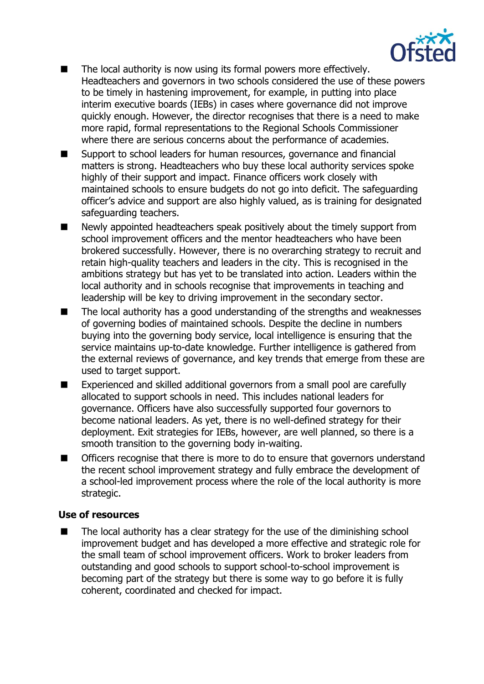

- The local authority is now using its formal powers more effectively. Headteachers and governors in two schools considered the use of these powers to be timely in hastening improvement, for example, in putting into place interim executive boards (IEBs) in cases where governance did not improve quickly enough. However, the director recognises that there is a need to make more rapid, formal representations to the Regional Schools Commissioner where there are serious concerns about the performance of academies.
- Support to school leaders for human resources, governance and financial matters is strong. Headteachers who buy these local authority services spoke highly of their support and impact. Finance officers work closely with maintained schools to ensure budgets do not go into deficit. The safeguarding officer's advice and support are also highly valued, as is training for designated safeguarding teachers.
- Newly appointed headteachers speak positively about the timely support from school improvement officers and the mentor headteachers who have been brokered successfully. However, there is no overarching strategy to recruit and retain high-quality teachers and leaders in the city. This is recognised in the ambitions strategy but has yet to be translated into action. Leaders within the local authority and in schools recognise that improvements in teaching and leadership will be key to driving improvement in the secondary sector.
- The local authority has a good understanding of the strengths and weaknesses of governing bodies of maintained schools. Despite the decline in numbers buying into the governing body service, local intelligence is ensuring that the service maintains up-to-date knowledge. Further intelligence is gathered from the external reviews of governance, and key trends that emerge from these are used to target support.
- Experienced and skilled additional governors from a small pool are carefully allocated to support schools in need. This includes national leaders for governance. Officers have also successfully supported four governors to become national leaders. As yet, there is no well-defined strategy for their deployment. Exit strategies for IEBs, however, are well planned, so there is a smooth transition to the governing body in-waiting.
- Officers recognise that there is more to do to ensure that governors understand the recent school improvement strategy and fully embrace the development of a school-led improvement process where the role of the local authority is more strategic.

#### **Use of resources**

 The local authority has a clear strategy for the use of the diminishing school improvement budget and has developed a more effective and strategic role for the small team of school improvement officers. Work to broker leaders from outstanding and good schools to support school-to-school improvement is becoming part of the strategy but there is some way to go before it is fully coherent, coordinated and checked for impact.